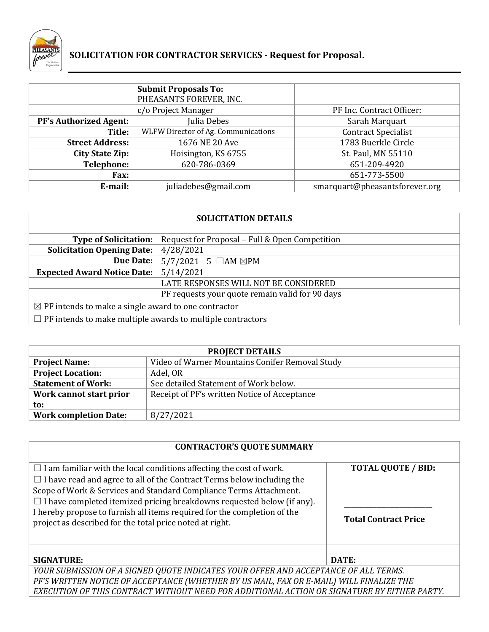

# **SOLICITATION FOR CONTRACTOR SERVICES - Request for Proposal.**

|                               | <b>Submit Proposals To:</b><br>PHEASANTS FOREVER, INC. |                                |
|-------------------------------|--------------------------------------------------------|--------------------------------|
|                               | c/o Project Manager                                    | PF Inc. Contract Officer:      |
| <b>PF's Authorized Agent:</b> | Julia Debes                                            | Sarah Marquart                 |
| Title:                        | WLFW Director of Ag. Communications                    | <b>Contract Specialist</b>     |
| <b>Street Address:</b>        | 1676 NE 20 Ave                                         | 1783 Buerkle Circle            |
| <b>City State Zip:</b>        | Hoisington, KS 6755                                    | St. Paul, MN 55110             |
| <b>Telephone:</b>             | 620-786-0369                                           | 651-209-4920                   |
| <b>Fax:</b>                   |                                                        | 651-773-5500                   |
| E-mail:                       | juliadebes@gmail.com                                   | smarquart@pheasantsforever.org |

| <b>SOLICITATION DETAILS</b>                                       |                                                 |  |
|-------------------------------------------------------------------|-------------------------------------------------|--|
| <b>Type of Solicitation:</b>                                      | Request for Proposal - Full & Open Competition  |  |
| <b>Solicitation Opening Date:</b>                                 | 4/28/2021                                       |  |
| <b>Due Date:</b>                                                  | $5/7/2021$ 5 $\Box$ AM $\boxtimes$ PM           |  |
| <b>Expected Award Notice Date:</b>                                | 5/14/2021                                       |  |
|                                                                   | LATE RESPONSES WILL NOT BE CONSIDERED           |  |
|                                                                   | PF requests your quote remain valid for 90 days |  |
| $\boxtimes$ PF intends to make a single award to one contractor   |                                                 |  |
| $\Box$ PF intends to make multiple awards to multiple contractors |                                                 |  |

| <b>PROJECT DETAILS</b>       |                                                 |  |
|------------------------------|-------------------------------------------------|--|
| <b>Project Name:</b>         | Video of Warner Mountains Conifer Removal Study |  |
| <b>Project Location:</b>     | Adel, OR                                        |  |
| <b>Statement of Work:</b>    | See detailed Statement of Work below.           |  |
| Work cannot start prior      | Receipt of PF's written Notice of Acceptance    |  |
| to:                          |                                                 |  |
| <b>Work completion Date:</b> | 8/27/2021                                       |  |

## **CONTRACTOR'S QUOTE SUMMARY**

| $\Box$ I am familiar with the local conditions affecting the cost of work.                  | <b>TOTAL QUOTE / BID:</b>   |
|---------------------------------------------------------------------------------------------|-----------------------------|
| $\Box$ I have read and agree to all of the Contract Terms below including the               |                             |
| Scope of Work & Services and Standard Compliance Terms Attachment.                          |                             |
| $\Box$ I have completed itemized pricing breakdowns requested below (if any).               |                             |
| I hereby propose to furnish all items required for the completion of the                    |                             |
| project as described for the total price noted at right.                                    | <b>Total Contract Price</b> |
|                                                                                             |                             |
|                                                                                             |                             |
| <b>SIGNATURE:</b>                                                                           | DATE:                       |
| YOUR SUBMISSION OF A SIGNED QUOTE INDICATES YOUR OFFER AND ACCEPTANCE OF ALL TERMS.         |                             |
| PF'S WRITTEN NOTICE OF ACCEPTANCE (WHETHER BY US MAIL, FAX OR E-MAIL) WILL FINALIZE THE     |                             |
| EXECUTION OF THIS CONTRACT WITHOUT NEED FOR ADDITIONAL ACTION OR SIGNATURE BY EITHER PARTY. |                             |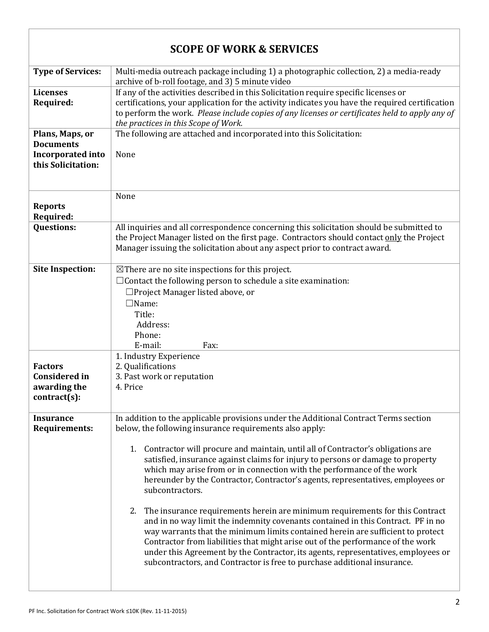| <b>SCOPE OF WORK &amp; SERVICES</b>                                                   |                                                                                                                                                                                                                                                                                                                                                                                                                                                                                                                                                                                                                                                                                                                                                                                                                                                                                                                                                                                                                        |  |
|---------------------------------------------------------------------------------------|------------------------------------------------------------------------------------------------------------------------------------------------------------------------------------------------------------------------------------------------------------------------------------------------------------------------------------------------------------------------------------------------------------------------------------------------------------------------------------------------------------------------------------------------------------------------------------------------------------------------------------------------------------------------------------------------------------------------------------------------------------------------------------------------------------------------------------------------------------------------------------------------------------------------------------------------------------------------------------------------------------------------|--|
| <b>Type of Services:</b>                                                              | Multi-media outreach package including 1) a photographic collection, 2) a media-ready<br>archive of b-roll footage, and 3) 5 minute video                                                                                                                                                                                                                                                                                                                                                                                                                                                                                                                                                                                                                                                                                                                                                                                                                                                                              |  |
| <b>Licenses</b><br>Required:                                                          | If any of the activities described in this Solicitation require specific licenses or<br>certifications, your application for the activity indicates you have the required certification<br>to perform the work. Please include copies of any licenses or certificates held to apply any of<br>the practices in this Scope of Work.                                                                                                                                                                                                                                                                                                                                                                                                                                                                                                                                                                                                                                                                                     |  |
| Plans, Maps, or<br><b>Documents</b><br><b>Incorporated into</b><br>this Solicitation: | The following are attached and incorporated into this Solicitation:<br>None                                                                                                                                                                                                                                                                                                                                                                                                                                                                                                                                                                                                                                                                                                                                                                                                                                                                                                                                            |  |
| <b>Reports</b><br>Required:                                                           | None                                                                                                                                                                                                                                                                                                                                                                                                                                                                                                                                                                                                                                                                                                                                                                                                                                                                                                                                                                                                                   |  |
| <b>Questions:</b>                                                                     | All inquiries and all correspondence concerning this solicitation should be submitted to<br>the Project Manager listed on the first page. Contractors should contact only the Project<br>Manager issuing the solicitation about any aspect prior to contract award.                                                                                                                                                                                                                                                                                                                                                                                                                                                                                                                                                                                                                                                                                                                                                    |  |
| <b>Site Inspection:</b>                                                               | $\boxtimes$ There are no site inspections for this project.<br>$\Box$ Contact the following person to schedule a site examination:<br>□Project Manager listed above, or<br>$\square$ Name:<br>Title:<br>Address:<br>Phone:<br>E-mail:<br>Fax:                                                                                                                                                                                                                                                                                                                                                                                                                                                                                                                                                                                                                                                                                                                                                                          |  |
| <b>Factors</b><br><b>Considered in</b><br>awarding the<br>contract(s):                | 1. Industry Experience<br>2. Qualifications<br>3. Past work or reputation<br>4. Price                                                                                                                                                                                                                                                                                                                                                                                                                                                                                                                                                                                                                                                                                                                                                                                                                                                                                                                                  |  |
| <b>Insurance</b><br><b>Requirements:</b>                                              | In addition to the applicable provisions under the Additional Contract Terms section<br>below, the following insurance requirements also apply:<br>1. Contractor will procure and maintain, until all of Contractor's obligations are<br>satisfied, insurance against claims for injury to persons or damage to property<br>which may arise from or in connection with the performance of the work<br>hereunder by the Contractor, Contractor's agents, representatives, employees or<br>subcontractors.<br>2. The insurance requirements herein are minimum requirements for this Contract<br>and in no way limit the indemnity covenants contained in this Contract. PF in no<br>way warrants that the minimum limits contained herein are sufficient to protect<br>Contractor from liabilities that might arise out of the performance of the work<br>under this Agreement by the Contractor, its agents, representatives, employees or<br>subcontractors, and Contractor is free to purchase additional insurance. |  |

 $\overline{1}$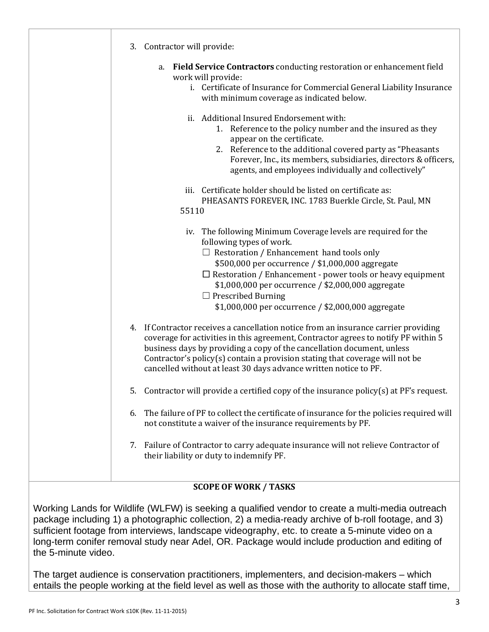|                     | 3. Contractor will provide:                                                                                                                                                                                                                                                                                                                                                                                      |
|---------------------|------------------------------------------------------------------------------------------------------------------------------------------------------------------------------------------------------------------------------------------------------------------------------------------------------------------------------------------------------------------------------------------------------------------|
|                     | <b>Field Service Contractors</b> conducting restoration or enhancement field<br>a.<br>work will provide:<br>i. Certificate of Insurance for Commercial General Liability Insurance<br>with minimum coverage as indicated below.                                                                                                                                                                                  |
|                     | ii. Additional Insured Endorsement with:<br>1. Reference to the policy number and the insured as they<br>appear on the certificate.<br>2. Reference to the additional covered party as "Pheasants"<br>Forever, Inc., its members, subsidiaries, directors & officers,<br>agents, and employees individually and collectively"                                                                                    |
|                     | iii. Certificate holder should be listed on certificate as:<br>PHEASANTS FOREVER, INC. 1783 Buerkle Circle, St. Paul, MN<br>55110                                                                                                                                                                                                                                                                                |
|                     | iv. The following Minimum Coverage levels are required for the<br>following types of work.<br>$\Box$ Restoration / Enhancement hand tools only<br>\$500,000 per occurrence / \$1,000,000 aggregate<br>$\Box$ Restoration / Enhancement - power tools or heavy equipment<br>\$1,000,000 per occurrence / \$2,000,000 aggregate<br>$\Box$ Prescribed Burning<br>\$1,000,000 per occurrence / \$2,000,000 aggregate |
|                     | 4. If Contractor receives a cancellation notice from an insurance carrier providing<br>coverage for activities in this agreement, Contractor agrees to notify PF within 5<br>business days by providing a copy of the cancellation document, unless<br>Contractor's policy(s) contain a provision stating that coverage will not be<br>cancelled without at least 30 days advance written notice to PF.          |
|                     | 5. Contractor will provide a certified copy of the insurance policy(s) at PF's request.                                                                                                                                                                                                                                                                                                                          |
|                     | The failure of PF to collect the certificate of insurance for the policies required will<br>6.<br>not constitute a waiver of the insurance requirements by PF.                                                                                                                                                                                                                                                   |
|                     | 7. Failure of Contractor to carry adequate insurance will not relieve Contractor of<br>their liability or duty to indemnify PF.                                                                                                                                                                                                                                                                                  |
|                     | <b>SCOPE OF WORK / TASKS</b>                                                                                                                                                                                                                                                                                                                                                                                     |
| the 5-minute video. | Working Lands for Wildlife (WLFW) is seeking a qualified vendor to create a multi-media outreach<br>package including 1) a photographic collection, 2) a media-ready archive of b-roll footage, and 3)<br>sufficient footage from interviews, landscape videography, etc. to create a 5-minute video on a<br>long-term conifer removal study near Adel, OR. Package would include production and editing of      |

The target audience is conservation practitioners, implementers, and decision-makers – which entails the people working at the field level as well as those with the authority to allocate staff time,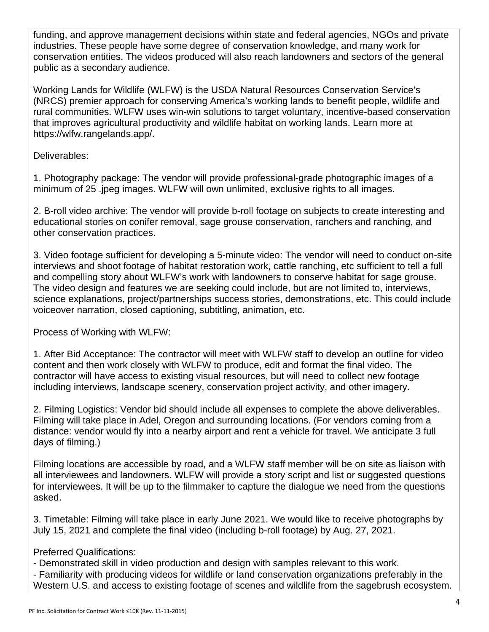funding, and approve management decisions within state and federal agencies, NGOs and private industries. These people have some degree of conservation knowledge, and many work for conservation entities. The videos produced will also reach landowners and sectors of the general public as a secondary audience.

Working Lands for Wildlife (WLFW) is the USDA Natural Resources Conservation Service's (NRCS) premier approach for conserving America's working lands to benefit people, wildlife and rural communities. WLFW uses win-win solutions to target voluntary, incentive-based conservation that improves agricultural productivity and wildlife habitat on working lands. Learn more at https://wlfw.rangelands.app/.

Deliverables:

1. Photography package: The vendor will provide professional-grade photographic images of a minimum of 25 .jpeg images. WLFW will own unlimited, exclusive rights to all images.

2. B-roll video archive: The vendor will provide b-roll footage on subjects to create interesting and educational stories on conifer removal, sage grouse conservation, ranchers and ranching, and other conservation practices.

3. Video footage sufficient for developing a 5-minute video: The vendor will need to conduct on-site interviews and shoot footage of habitat restoration work, cattle ranching, etc sufficient to tell a full and compelling story about WLFW's work with landowners to conserve habitat for sage grouse. The video design and features we are seeking could include, but are not limited to, interviews, science explanations, project/partnerships success stories, demonstrations, etc. This could include voiceover narration, closed captioning, subtitling, animation, etc.

Process of Working with WLFW:

1. After Bid Acceptance: The contractor will meet with WLFW staff to develop an outline for video content and then work closely with WLFW to produce, edit and format the final video. The contractor will have access to existing visual resources, but will need to collect new footage including interviews, landscape scenery, conservation project activity, and other imagery.

2. Filming Logistics: Vendor bid should include all expenses to complete the above deliverables. Filming will take place in Adel, Oregon and surrounding locations. (For vendors coming from a distance: vendor would fly into a nearby airport and rent a vehicle for travel. We anticipate 3 full days of filming.)

Filming locations are accessible by road, and a WLFW staff member will be on site as liaison with all interviewees and landowners. WLFW will provide a story script and list or suggested questions for interviewees. It will be up to the filmmaker to capture the dialogue we need from the questions asked.

3. Timetable: Filming will take place in early June 2021. We would like to receive photographs by July 15, 2021 and complete the final video (including b-roll footage) by Aug. 27, 2021.

## Preferred Qualifications:

- Demonstrated skill in video production and design with samples relevant to this work.

- Familiarity with producing videos for wildlife or land conservation organizations preferably in the Western U.S. and access to existing footage of scenes and wildlife from the sagebrush ecosystem.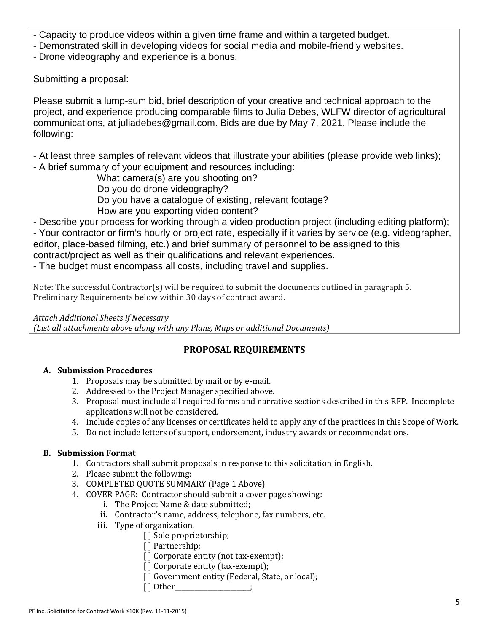- Capacity to produce videos within a given time frame and within a targeted budget.
- Demonstrated skill in developing videos for social media and mobile-friendly websites.
- Drone videography and experience is a bonus.

Submitting a proposal:

Please submit a lump-sum bid, brief description of your creative and technical approach to the project, and experience producing comparable films to Julia Debes, WLFW director of agricultural communications, at juliadebes@gmail.com. Bids are due by May 7, 2021. Please include the following:

- At least three samples of relevant videos that illustrate your abilities (please provide web links);

- A brief summary of your equipment and resources including:

What camera(s) are you shooting on?

Do you do drone videography?

- Do you have a catalogue of existing, relevant footage?
- How are you exporting video content?

- Describe your process for working through a video production project (including editing platform); - Your contractor or firm's hourly or project rate, especially if it varies by service (e.g. videographer, editor, place-based filming, etc.) and brief summary of personnel to be assigned to this contract/project as well as their qualifications and relevant experiences.

- The budget must encompass all costs, including travel and supplies.

Note: The successful Contractor(s) will be required to submit the documents outlined in paragraph 5. Preliminary Requirements below within 30 days of contract award.

*Attach Additional Sheets if Necessary (List all attachments above along with any Plans, Maps or additional Documents)*

## **PROPOSAL REQUIREMENTS**

## **A. Submission Procedures**

- 1. Proposals may be submitted by mail or by e-mail.
- 2. Addressed to the Project Manager specified above.
- 3. Proposal must include all required forms and narrative sections described in this RFP. Incomplete applications will not be considered.
- 4. Include copies of any licenses or certificates held to apply any of the practices in this Scope of Work.
- 5. Do not include letters of support, endorsement, industry awards or recommendations.

## **B. Submission Format**

- 1. Contractors shall submit proposals in response to this solicitation in English.
- 2. Please submit the following:
- 3. COMPLETED QUOTE SUMMARY (Page 1 Above)
- 4. COVER PAGE: Contractor should submit a cover page showing:
	- **i.** The Project Name & date submitted;
	- **ii.** Contractor's name, address, telephone, fax numbers, etc.
	- **iii.** Type of organization.
		- [] Sole proprietorship;
		- [] Partnership;
		- [] Corporate entity (not tax-exempt);
		- [] Corporate entity (tax-exempt);
		- [] Government entity (Federal, State, or local);
			- [ ] Other\_\_\_\_\_\_\_\_\_\_\_\_\_\_\_\_\_\_;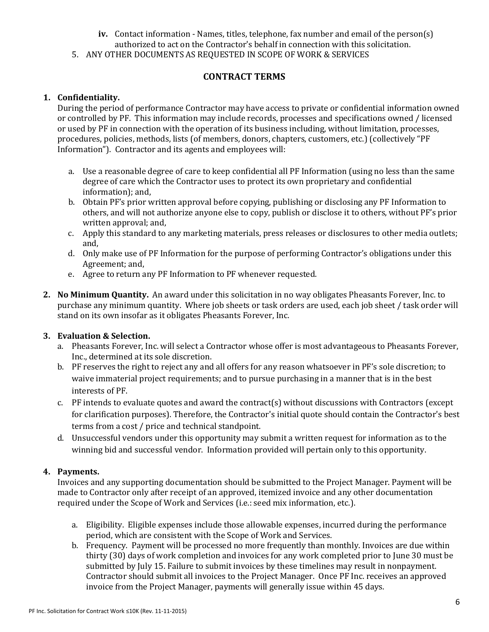- **iv.** Contact information Names, titles, telephone, fax number and email of the person(s) authorized to act on the Contractor's behalf in connection with this solicitation.
- 
- 5. ANY OTHER DOCUMENTS AS REQUESTED IN SCOPE OF WORK & SERVICES

## **CONTRACT TERMS**

### **1. Confidentiality.**

During the period of performance Contractor may have access to private or confidential information owned or controlled by PF. This information may include records, processes and specifications owned / licensed or used by PF in connection with the operation of its business including, without limitation, processes, procedures, policies, methods, lists (of members, donors, chapters, customers, etc.) (collectively "PF Information"). Contractor and its agents and employees will:

- a. Use a reasonable degree of care to keep confidential all PF Information (using no less than the same degree of care which the Contractor uses to protect its own proprietary and confidential information); and,
- b. Obtain PF's prior written approval before copying, publishing or disclosing any PF Information to others, and will not authorize anyone else to copy, publish or disclose it to others, without PF's prior written approval; and,
- c. Apply this standard to any marketing materials, press releases or disclosures to other media outlets; and,
- d. Only make use of PF Information for the purpose of performing Contractor's obligations under this Agreement; and,
- e. Agree to return any PF Information to PF whenever requested.
- **2. No Minimum Quantity.** An award under this solicitation in no way obligates Pheasants Forever, Inc. to purchase any minimum quantity. Where job sheets or task orders are used, each job sheet / task order will stand on its own insofar as it obligates Pheasants Forever, Inc.

### **3. Evaluation & Selection.**

- a. Pheasants Forever, Inc. will select a Contractor whose offer is most advantageous to Pheasants Forever, Inc., determined at its sole discretion.
- b. PF reserves the right to reject any and all offers for any reason whatsoever in PF's sole discretion; to waive immaterial project requirements; and to pursue purchasing in a manner that is in the best interests of PF.
- c. PF intends to evaluate quotes and award the contract(s) without discussions with Contractors (except for clarification purposes). Therefore, the Contractor's initial quote should contain the Contractor's best terms from a cost / price and technical standpoint.
- d. Unsuccessful vendors under this opportunity may submit a written request for information as to the winning bid and successful vendor. Information provided will pertain only to this opportunity.

## **4. Payments.**

Invoices and any supporting documentation should be submitted to the Project Manager. Payment will be made to Contractor only after receipt of an approved, itemized invoice and any other documentation required under the Scope of Work and Services (i.e.: seed mix information, etc.).

- a. Eligibility. Eligible expenses include those allowable expenses, incurred during the performance period, which are consistent with the Scope of Work and Services.
- b. Frequency. Payment will be processed no more frequently than monthly. Invoices are due within thirty (30) days of work completion and invoices for any work completed prior to June 30 must be submitted by July 15. Failure to submit invoices by these timelines may result in nonpayment. Contractor should submit all invoices to the Project Manager. Once PF Inc. receives an approved invoice from the Project Manager, payments will generally issue within 45 days.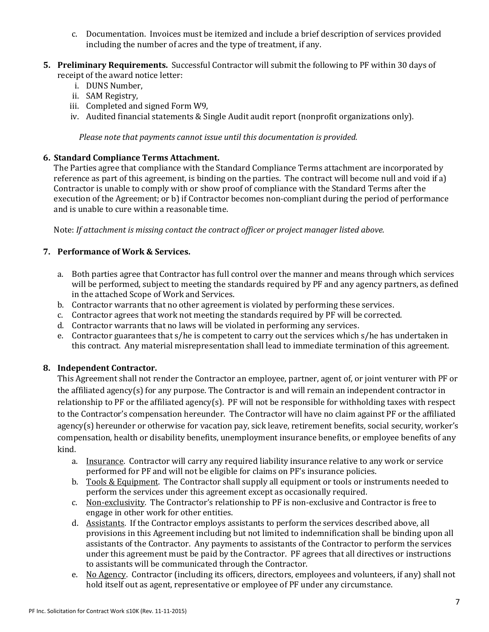- c. Documentation. Invoices must be itemized and include a brief description of services provided including the number of acres and the type of treatment, if any.
- **5. Preliminary Requirements.** Successful Contractor will submit the following to PF within 30 days of receipt of the award notice letter:
	- i. DUNS Number,
	- ii. SAM Registry,
	- iii. Completed and signed Form W9,
	- iv. Audited financial statements & Single Audit audit report (nonprofit organizations only).

*Please note that payments cannot issue until this documentation is provided.*

#### **6. Standard Compliance Terms Attachment.**

The Parties agree that compliance with the Standard Compliance Terms attachment are incorporated by reference as part of this agreement, is binding on the parties. The contract will become null and void if a) Contractor is unable to comply with or show proof of compliance with the Standard Terms after the execution of the Agreement; or b) if Contractor becomes non-compliant during the period of performance and is unable to cure within a reasonable time.

Note: *If attachment is missing contact the contract officer or project manager listed above.*

#### **7. Performance of Work & Services.**

- a. Both parties agree that Contractor has full control over the manner and means through which services will be performed, subject to meeting the standards required by PF and any agency partners, as defined in the attached Scope of Work and Services.
- b. Contractor warrants that no other agreement is violated by performing these services.
- c. Contractor agrees that work not meeting the standards required by PF will be corrected.
- d. Contractor warrants that no laws will be violated in performing any services.
- e. Contractor guarantees that s/he is competent to carry out the services which s/he has undertaken in this contract. Any material misrepresentation shall lead to immediate termination of this agreement.

#### **8. Independent Contractor.**

This Agreement shall not render the Contractor an employee, partner, agent of, or joint venturer with PF or the affiliated agency(s) for any purpose. The Contractor is and will remain an independent contractor in relationship to PF or the affiliated agency(s). PF will not be responsible for withholding taxes with respect to the Contractor's compensation hereunder. The Contractor will have no claim against PF or the affiliated agency(s) hereunder or otherwise for vacation pay, sick leave, retirement benefits, social security, worker's compensation, health or disability benefits, unemployment insurance benefits, or employee benefits of any kind.

- a. Insurance. Contractor will carry any required liability insurance relative to any work or service performed for PF and will not be eligible for claims on PF's insurance policies.
- b. Tools & Equipment. The Contractor shall supply all equipment or tools or instruments needed to perform the services under this agreement except as occasionally required.
- c. Non-exclusivity. The Contractor's relationship to PF is non-exclusive and Contractor is free to engage in other work for other entities.
- d. Assistants. If the Contractor employs assistants to perform the services described above, all provisions in this Agreement including but not limited to indemnification shall be binding upon all assistants of the Contractor. Any payments to assistants of the Contractor to perform the services under this agreement must be paid by the Contractor. PF agrees that all directives or instructions to assistants will be communicated through the Contractor.
- e. No Agency. Contractor (including its officers, directors, employees and volunteers, if any) shall not hold itself out as agent, representative or employee of PF under any circumstance.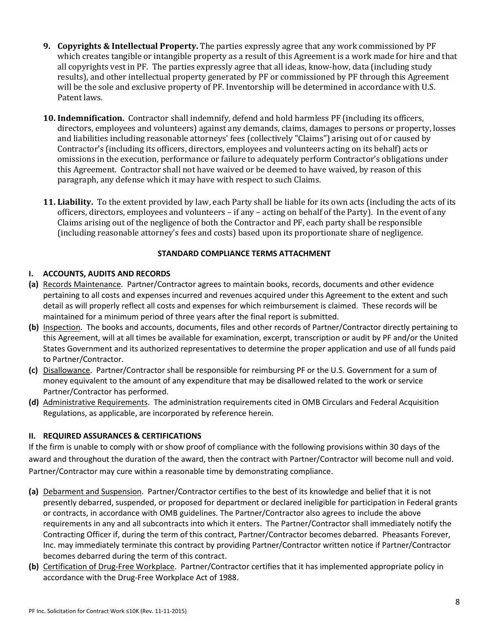- **9. Copyrights & Intellectual Property.** The parties expressly agree that any work commissioned by PF which creates tangible or intangible property as a result of this Agreement is a work made for hire and that all copyrights vest in PF. The parties expressly agree that all ideas, know-how, data (including study results), and other intellectual property generated by PF or commissioned by PF through this Agreement will be the sole and exclusive property of PF. Inventorship will be determined in accordance with U.S. Patent laws.
- **10. Indemnification.** Contractor shall indemnify, defend and hold harmless PF (including its officers, directors, employees and volunteers) against any demands, claims, damages to persons or property, losses and liabilities including reasonable attorneys' fees (collectively "Claims") arising out of or caused by Contractor's (including its officers, directors, employees and volunteers acting on its behalf) acts or omissions in the execution, performance or failure to adequately perform Contractor's obligations under this Agreement. Contractor shall not have waived or be deemed to have waived, by reason of this paragraph, any defense which it may have with respect to such Claims.
- **11. Liability.** To the extent provided by law, each Party shall be liable for its own acts (including the acts of its officers, directors, employees and volunteers – if any – acting on behalf of the Party). In the event of any Claims arising out of the negligence of both the Contractor and PF, each party shall be responsible (including reasonable attorney's fees and costs) based upon its proportionate share of negligence.

#### **STANDARD COMPLIANCE TERMS ATTACHMENT**

### **I. ACCOUNTS, AUDITS AND RECORDS**

- **(a)** Records Maintenance. Partner/Contractor agrees to maintain books, records, documents and other evidence pertaining to all costs and expenses incurred and revenues acquired under this Agreement to the extent and such detail as will properly reflect all costs and expenses for which reimbursement is claimed. These records will be maintained for a minimum period of three years after the final report is submitted.
- **(b)** Inspection. The books and accounts, documents, files and other records of Partner/Contractor directly pertaining to this Agreement, will at all times be available for examination, excerpt, transcription or audit by PF and/or the United States Government and its authorized representatives to determine the proper application and use of all funds paid to Partner/Contractor.
- **(c)** Disallowance. Partner/Contractor shall be responsible for reimbursing PF or the U.S. Government for a sum of money equivalent to the amount of any expenditure that may be disallowed related to the work or service Partner/Contractor has performed.
- **(d)** Administrative Requirements. The administration requirements cited in OMB Circulars and Federal Acquisition Regulations, as applicable, are incorporated by reference herein.

### **II. REQUIRED ASSURANCES & CERTIFICATIONS**

If the firm is unable to comply with or show proof of compliance with the following provisions within 30 days of the award and throughout the duration of the award, then the contract with Partner/Contractor will become null and void. Partner/Contractor may cure within a reasonable time by demonstrating compliance.

- **(a)** Debarment and Suspension. Partner/Contractor certifies to the best of its knowledge and belief that it is not presently debarred, suspended, or proposed for department or declared ineligible for participation in Federal grants or contracts, in accordance with OMB guidelines. The Partner/Contractor also agrees to include the above requirements in any and all subcontracts into which it enters. The Partner/Contractor shall immediately notify the Contracting Officer if, during the term of this contract, Partner/Contractor becomes debarred. Pheasants Forever, Inc. may immediately terminate this contract by providing Partner/Contractor written notice if Partner/Contractor becomes debarred during the term of this contract.
- **(b)** Certification of Drug-Free Workplace. Partner/Contractor certifies that it has implemented appropriate policy in accordance with the Drug-Free Workplace Act of 1988.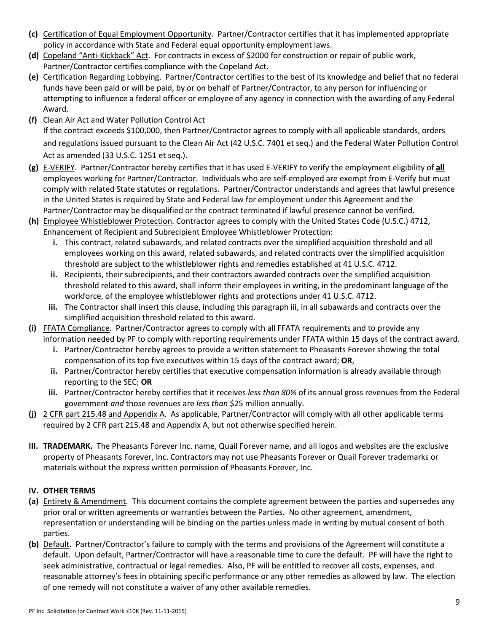- **(c)** Certification of Equal Employment Opportunity. Partner/Contractor certifies that it has implemented appropriate policy in accordance with State and Federal equal opportunity employment laws.
- **(d)** Copeland "Anti-Kickback" Act. For contracts in excess of \$2000 for construction or repair of public work, Partner/Contractor certifies compliance with the Copeland Act.
- **(e)** Certification Regarding Lobbying. Partner/Contractor certifies to the best of its knowledge and belief that no federal funds have been paid or will be paid, by or on behalf of Partner/Contractor, to any person for influencing or attempting to influence a federal officer or employee of any agency in connection with the awarding of any Federal Award.
- **(f)** Clean Air Act and Water Pollution Control Act If the contract exceeds \$100,000, then Partner/Contractor agrees to comply with all applicable standards, orders and regulations issued pursuant to the Clean Air Act (42 U.S.C. 7401 et seq.) and the Federal Water Pollution Control Act as amended (33 U.S.C. 1251 et seq.).
- **(g)** E-VERIFY. Partner/Contractor hereby certifies that it has used E-VERIFY to verify the employment eligibility of **all** employees working for Partner/Contractor. Individuals who are self-employed are exempt from E-Verify but must comply with related State statutes or regulations. Partner/Contractor understands and agrees that lawful presence in the United States is required by State and Federal law for employment under this Agreement and the Partner/Contractor may be disqualified or the contract terminated if lawful presence cannot be verified.
- **(h)** Employee Whistleblower Protection. Contractor agrees to comply with the United States Code (U.S.C.) 4712, Enhancement of Recipient and Subrecipient Employee Whistleblower Protection:
	- **i.** This contract, related subawards, and related contracts over the simplified acquisition threshold and all employees working on this award, related subawards, and related contracts over the simplified acquisition threshold are subject to the whistleblower rights and remedies established at 41 U.S.C. 4712.
	- **ii.** Recipients, their subrecipients, and their contractors awarded contracts over the simplified acquisition threshold related to this award, shall inform their employees in writing, in the predominant language of the workforce, of the employee whistleblower rights and protections under 41 U.S.C. 4712.
	- **iii.** The Contractor shall insert this clause, including this paragraph iii, in all subawards and contracts over the simplified acquisition threshold related to this award.
- **(i)** FFATA Compliance. Partner/Contractor agrees to comply with all FFATA requirements and to provide any information needed by PF to comply with reporting requirements under FFATA within 15 days of the contract award.
	- **i.** Partner/Contractor hereby agrees to provide a written statement to Pheasants Forever showing the total compensation of its top five executives within 15 days of the contract award; **OR**,
	- **ii.** Partner/Contractor hereby certifies that executive compensation information is already available through reporting to the SEC; **OR**
	- **iii.** Partner/Contractor hereby certifies that it receives *less than 80%* of its annual gross revenues from the Federal government *and* those revenues are *less than* \$25 million annually.
- **(j)** 2 CFR part 215.48 and Appendix A. As applicable, Partner/Contractor will comply with all other applicable terms required by 2 CFR part 215.48 and Appendix A, but not otherwise specified herein.
- **III. TRADEMARK.** The Pheasants Forever Inc. name, Quail Forever name, and all logos and websites are the exclusive property of Pheasants Forever, Inc. Contractors may not use Pheasants Forever or Quail Forever trademarks or materials without the express written permission of Pheasants Forever, Inc.

## **IV. OTHER TERMS**

- **(a)** Entirety & Amendment. This document contains the complete agreement between the parties and supersedes any prior oral or written agreements or warranties between the Parties. No other agreement, amendment, representation or understanding will be binding on the parties unless made in writing by mutual consent of both parties.
- **(b)** Default. Partner/Contractor's failure to comply with the terms and provisions of the Agreement will constitute a default. Upon default, Partner/Contractor will have a reasonable time to cure the default. PF will have the right to seek administrative, contractual or legal remedies. Also, PF will be entitled to recover all costs, expenses, and reasonable attorney's fees in obtaining specific performance or any other remedies as allowed by law. The election of one remedy will not constitute a waiver of any other available remedies.